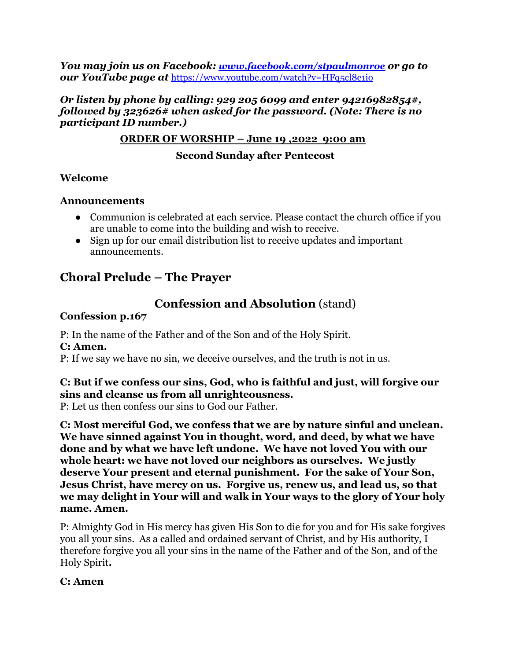*You may join us on Facebook: [www.facebook.com/stpaulmonroe](http://www.facebook.com/stpaulmonroe) or go to our YouTube page at* <https://www.youtube.com/watch?v=HFq5cl8e1io>

#### *Or listen by phone by calling: 929 205 6099 and enter 94216982854#, followed by 323626# when asked for the password. (Note: There is no participant ID number.)*

### **ORDER OF WORSHIP – June 19 ,2022 9:00 am**

### **Second Sunday after Pentecost**

### **Welcome**

### **Announcements**

- Communion is celebrated at each service. Please contact the church office if you are unable to come into the building and wish to receive.
- **●** Sign up for our email distribution list to receive updates and important announcements.

# **Choral Prelude – The Prayer**

# **Confession and Absolution** (stand)

### **Confession p.167**

P: In the name of the Father and of the Son and of the Holy Spirit. **C: Amen.**

P: If we say we have no sin, we deceive ourselves, and the truth is not in us.

## **C: But if we confess our sins, God, who is faithful and just, will forgive our sins and cleanse us from all unrighteousness.**

P: Let us then confess our sins to God our Father.

**C: Most merciful God, we confess that we are by nature sinful and unclean. We have sinned against You in thought, word, and deed, by what we have done and by what we have left undone. We have not loved You with our whole heart: we have not loved our neighbors as ourselves. We justly deserve Your present and eternal punishment. For the sake of Your Son, Jesus Christ, have mercy on us. Forgive us, renew us, and lead us, so that we may delight in Your will and walk in Your ways to the glory of Your holy name. Amen.**

P: Almighty God in His mercy has given His Son to die for you and for His sake forgives you all your sins. As a called and ordained servant of Christ, and by His authority, I therefore forgive you all your sins in the name of the Father and of the Son, and of the Holy Spirit**.**

### **C: Amen**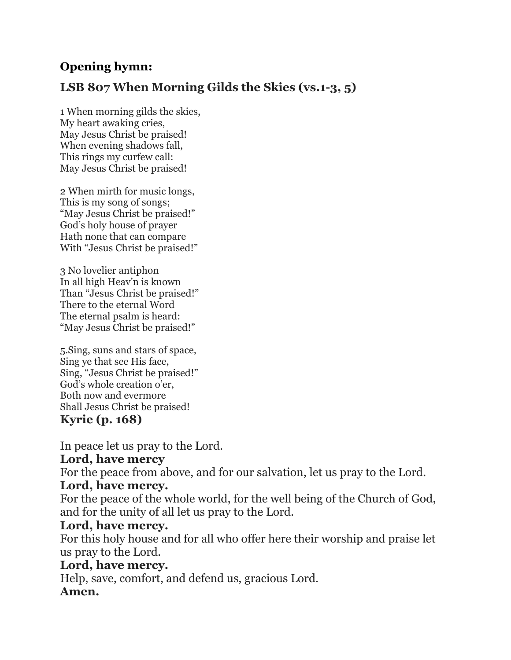# **Opening hymn:**

# **LSB 807 When Morning Gilds the Skies (vs.1-3, 5)**

1 When morning gilds the skies, My heart awaking cries, May Jesus Christ be praised! When evening shadows fall, This rings my curfew call: May Jesus Christ be praised!

2 When mirth for music longs, This is my song of songs; "May Jesus Christ be praised!" God's holy house of prayer Hath none that can compare With "Jesus Christ be praised!"

3 No lovelier antiphon In all high Heav'n is known Than "Jesus Christ be praised!" There to the eternal Word The eternal psalm is heard: "May Jesus Christ be praised!"

5.Sing, suns and stars of space, Sing ye that see His face, Sing, "Jesus Christ be praised!" God's whole creation o'er, Both now and evermore Shall Jesus Christ be praised! **Kyrie (p. 168)**

In peace let us pray to the Lord.

# **Lord, have mercy**

For the peace from above, and for our salvation, let us pray to the Lord.

# **Lord, have mercy.**

For the peace of the whole world, for the well being of the Church of God, and for the unity of all let us pray to the Lord.

# **Lord, have mercy.**

For this holy house and for all who offer here their worship and praise let us pray to the Lord.

# **Lord, have mercy.**

Help, save, comfort, and defend us, gracious Lord. **Amen.**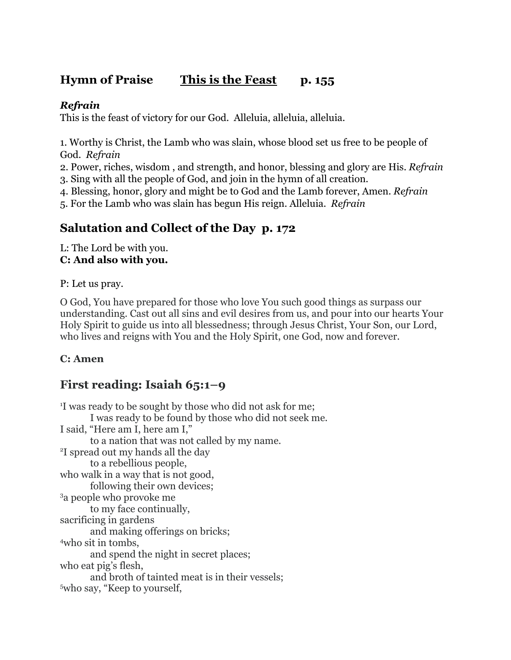# **Hymn of Praise This is the Feast p. 155**

### *Refrain*

This is the feast of victory for our God. Alleluia, alleluia, alleluia.

1. Worthy is Christ, the Lamb who was slain, whose blood set us free to be people of God. *Refrain*

2. Power, riches, wisdom , and strength, and honor, blessing and glory are His. *Refrain* 3. Sing with all the people of God, and join in the hymn of all creation.

4. Blessing, honor, glory and might be to God and the Lamb forever, Amen. *Refrain*

5. For the Lamb who was slain has begun His reign. Alleluia. *Refrain*

# **Salutation and Collect of the Day p. 172**

L: The Lord be with you. **C: And also with you.**

P: Let us pray.

O God, You have prepared for those who love You such good things as surpass our understanding. Cast out all sins and evil desires from us, and pour into our hearts Your Holy Spirit to guide us into all blessedness; through Jesus Christ, Your Son, our Lord, who lives and reigns with You and the Holy Spirit, one God, now and forever.

### **C: Amen**

# **First reading: Isaiah 65:1–9**

<sup>1</sup>I was ready to be sought by those who did not ask for me; I was ready to be found by those who did not seek me. I said, "Here am I, here am I," to a nation that was not called by my name. <sup>2</sup>I spread out my hands all the day to a rebellious people, who walk in a way that is not good, following their own devices; <sup>3</sup>a people who provoke me to my face continually, sacrificing in gardens and making offerings on bricks; <sup>4</sup>who sit in tombs, and spend the night in secret places; who eat pig's flesh, and broth of tainted meat is in their vessels; 5who say, "Keep to yourself,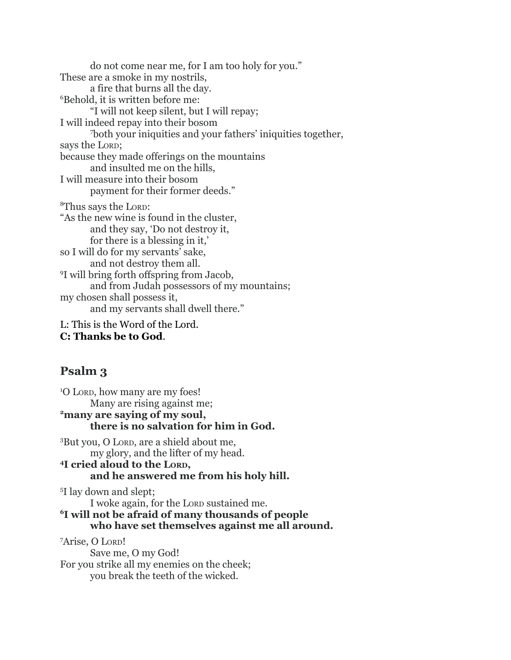do not come near me, for I am too holy for you." These are a smoke in my nostrils, a fire that burns all the day. <sup>6</sup>Behold, it is written before me: "I will not keep silent, but I will repay; I will indeed repay into their bosom <sup>7</sup>both your iniquities and your fathers' iniquities together, says the LORD; because they made offerings on the mountains and insulted me on the hills, I will measure into their bosom payment for their former deeds." <sup>8</sup>Thus says the LORD: "As the new wine is found in the cluster, and they say, 'Do not destroy it, for there is a blessing in it,' so I will do for my servants' sake, and not destroy them all. <sup>9</sup>I will bring forth offspring from Jacob, and from Judah possessors of my mountains; my chosen shall possess it, and my servants shall dwell there." L: This is the Word of the Lord.

**C: Thanks be to God**.

# **Psalm 3**

<sup>1</sup>O LORD, how many are my foes! Many are rising against me; **<sup>2</sup>many are saying of my soul, there is no salvation for him in God.** <sup>3</sup>But you, O LORD, are a shield about me, my glory, and the lifter of my head. **<sup>4</sup>I cried aloud to the LORD, and he answered me from his holy hill.** <sup>5</sup>I lay down and slept; I woke again, for the LORD sustained me. **<sup>6</sup>I will not be afraid of many thousands of people who have set themselves against me all around.**

<sup>7</sup>Arise, O LORD! Save me, O my God! For you strike all my enemies on the cheek; you break the teeth of the wicked.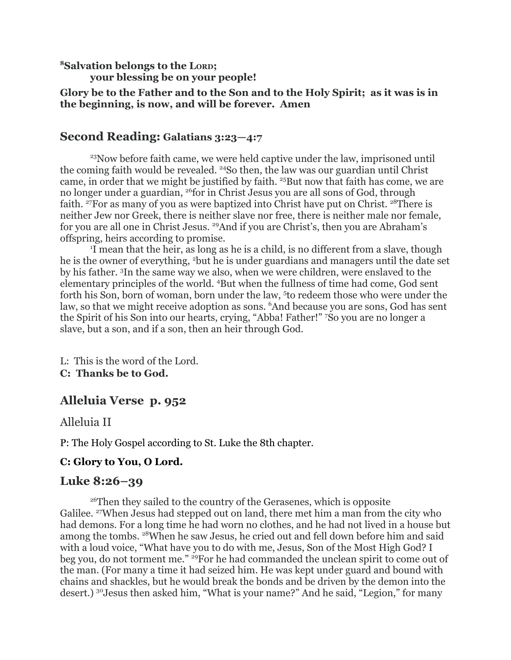**<sup>8</sup>Salvation belongs to the LORD;**

**your blessing be on your people!**

**Glory be to the Father and to the Son and to the Holy Spirit; as it was is in the beginning, is now, and will be forever. Amen**

## **Second Reading: Galatians 3:23—4:7**

<sup>23</sup>Now before faith came, we were held captive under the law, imprisoned until the coming faith would be revealed. <sup>24</sup>So then, the law was our guardian until Christ came, in order that we might be justified by faith. <sup>25</sup>But now that faith has come, we are no longer under a guardian, <sup>26</sup>for in Christ Jesus you are all sons of God, through faith. <sup>27</sup>For as many of you as were baptized into Christ have put on Christ. <sup>28</sup>There is neither Jew nor Greek, there is neither slave nor free, there is neither male nor female, for you are all one in Christ Jesus. <sup>29</sup>And if you are Christ's, then you are Abraham's offspring, heirs according to promise.

<sup>1</sup>I mean that the heir, as long as he is a child, is no different from a slave, though he is the owner of everything, <sup>2</sup>but he is under guardians and managers until the date set by his father. <sup>3</sup>In the same way we also, when we were children, were enslaved to the elementary principles of the world. <sup>4</sup>But when the fullness of time had come, God sent forth his Son, born of woman, born under the law, <sup>5</sup>to redeem those who were under the law, so that we might receive adoption as sons. <sup>6</sup>And because you are sons, God has sent the Spirit of his Son into our hearts, crying, "Abba! Father!" <sup>7</sup>So you are no longer a slave, but a son, and if a son, then an heir through God.

L: This is the word of the Lord. **C: Thanks be to God.**

# **Alleluia Verse p. 952**

Alleluia II

P: The Holy Gospel according to St. Luke the 8th chapter.

### **C: Glory to You, O Lord.**

### **Luke 8:26–39**

<sup>26</sup>Then they sailed to the country of the Gerasenes, which is opposite Galilee. <sup>27</sup>When Jesus had stepped out on land, there met him a man from the city who had demons. For a long time he had worn no clothes, and he had not lived in a house but among the tombs. <sup>28</sup>When he saw Jesus, he cried out and fell down before him and said with a loud voice, "What have you to do with me, Jesus, Son of the Most High God? I beg you, do not torment me." <sup>29</sup>For he had commanded the unclean spirit to come out of the man. (For many a time it had seized him. He was kept under guard and bound with chains and shackles, but he would break the bonds and be driven by the demon into the desert.) <sup>30</sup>Jesus then asked him, "What is your name?" And he said, "Legion," for many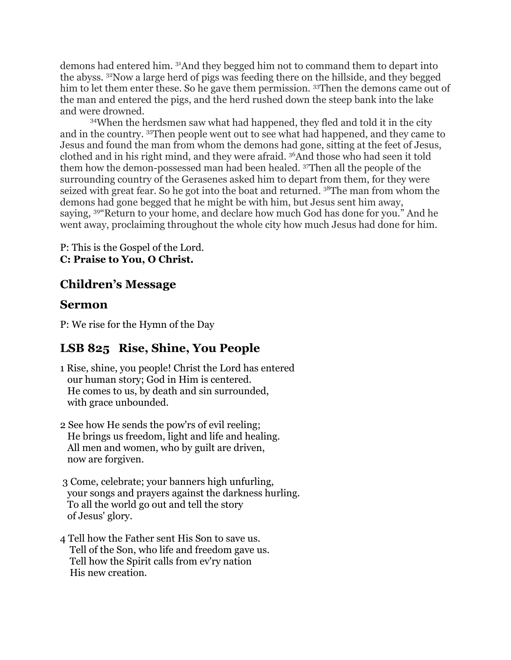demons had entered him. <sup>31</sup>And they begged him not to command them to depart into the abyss. <sup>32</sup>Now a large herd of pigs was feeding there on the hillside, and they begged him to let them enter these. So he gave them permission. 33Then the demons came out of the man and entered the pigs, and the herd rushed down the steep bank into the lake and were drowned.

<sup>34</sup>When the herdsmen saw what had happened, they fled and told it in the city and in the country. <sup>35</sup>Then people went out to see what had happened, and they came to Jesus and found the man from whom the demons had gone, sitting at the feet of Jesus, clothed and in his right mind, and they were afraid. <sup>36</sup>And those who had seen it told them how the demon-possessed man had been healed. <sup>37</sup>Then all the people of the surrounding country of the Gerasenes asked him to depart from them, for they were seized with great fear. So he got into the boat and returned. <sup>38</sup>The man from whom the demons had gone begged that he might be with him, but Jesus sent him away, saying, <sup>39</sup>"Return to your home, and declare how much God has done for you." And he went away, proclaiming throughout the whole city how much Jesus had done for him.

P: This is the Gospel of the Lord. **C: Praise to You, O Christ.**

# **Children's Message**

### **Sermon**

P: We rise for the Hymn of the Day

# **LSB 825 Rise, Shine, You People**

- 1 Rise, shine, you people! Christ the Lord has entered our human story; God in Him is centered. He comes to us, by death and sin surrounded, with grace unbounded.
- 2 See how He sends the pow'rs of evil reeling; He brings us freedom, light and life and healing. All men and women, who by guilt are driven, now are forgiven.
- 3 Come, celebrate; your banners high unfurling, your songs and prayers against the darkness hurling. To all the world go out and tell the story of Jesus' glory.
- 4 Tell how the Father sent His Son to save us. Tell of the Son, who life and freedom gave us. Tell how the Spirit calls from ev'ry nation His new creation.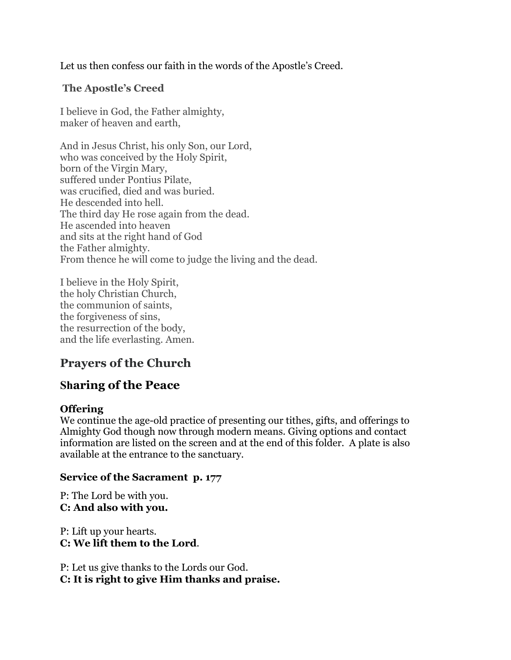Let us then confess our faith in the words of the Apostle's Creed.

### **The Apostle's Creed**

I believe in God, the Father almighty, maker of heaven and earth,

And in Jesus Christ, his only Son, our Lord, who was conceived by the Holy Spirit, born of the Virgin Mary, suffered under Pontius Pilate, was crucified, died and was buried. He descended into hell. The third day He rose again from the dead. He ascended into heaven and sits at the right hand of God the Father almighty. From thence he will come to judge the living and the dead.

I believe in the Holy Spirit, the holy Christian Church, the communion of saints, the forgiveness of sins, the resurrection of the body, and the life everlasting. Amen.

# **Prayers of the Church**

# **Sharing of the Peace**

#### **Offering**

We continue the age-old practice of presenting our tithes, gifts, and offerings to Almighty God though now through modern means. Giving options and contact information are listed on the screen and at the end of this folder. A plate is also available at the entrance to the sanctuary.

#### **Service of the Sacrament p. 177**

P: The Lord be with you. **C: And also with you.**

P: Lift up your hearts. **C: We lift them to the Lord**.

P: Let us give thanks to the Lords our God. **C: It is right to give Him thanks and praise.**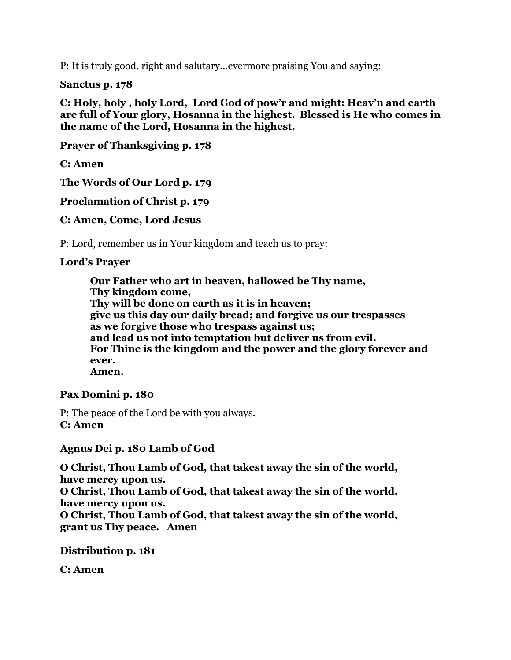P: It is truly good, right and salutary…evermore praising You and saying:

**Sanctus p. 178**

**C: Holy, holy , holy Lord, Lord God of pow'r and might: Heav'n and earth are full of Your glory, Hosanna in the highest. Blessed is He who comes in the name of the Lord, Hosanna in the highest.**

**Prayer of Thanksgiving p. 178**

**C: Amen**

**The Words of Our Lord p. 179**

**Proclamation of Christ p. 179**

**C: Amen, Come, Lord Jesus**

P: Lord, remember us in Your kingdom and teach us to pray:

#### **Lord's Prayer**

**Our Father who art in heaven, hallowed be Thy name, Thy kingdom come, Thy will be done on earth as it is in heaven; give us this day our daily bread; and forgive us our trespasses as we forgive those who trespass against us; and lead us not into temptation but deliver us from evil. For Thine is the kingdom and the power and the glory forever and ever. Amen.**

#### **Pax Domini p. 180**

P: The peace of the Lord be with you always. **C: Amen**

**Agnus Dei p. 180 Lamb of God**

**O Christ, Thou Lamb of God, that takest away the sin of the world, have mercy upon us.**

**O Christ, Thou Lamb of God, that takest away the sin of the world, have mercy upon us.**

**O Christ, Thou Lamb of God, that takest away the sin of the world, grant us Thy peace. Amen**

**Distribution p. 181**

**C: Amen**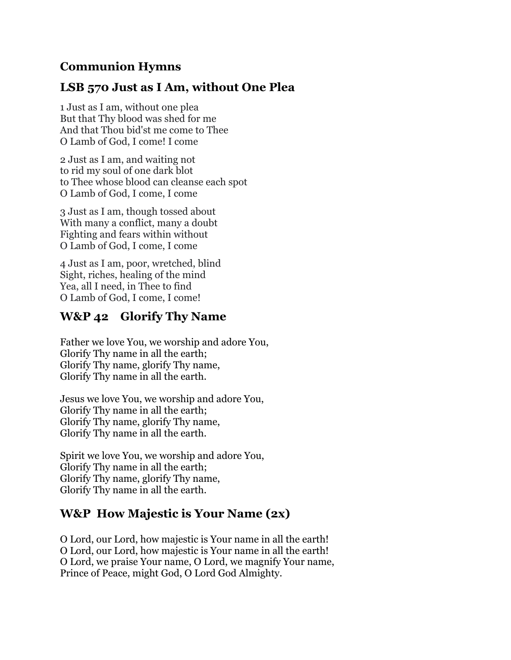# **Communion Hymns**

# **LSB 570 Just as I Am, without One Plea**

1 Just as I am, without one plea But that Thy blood was shed for me And that Thou bid'st me come to Thee O Lamb of God, I come! I come

2 Just as I am, and waiting not to rid my soul of one dark blot to Thee whose blood can cleanse each spot O Lamb of God, I come, I come

3 Just as I am, though tossed about With many a conflict, many a doubt Fighting and fears within without O Lamb of God, I come, I come

4 Just as I am, poor, wretched, blind Sight, riches, healing of the mind Yea, all I need, in Thee to find O Lamb of God, I come, I come!

# **W&P 42 Glorify Thy Name**

Father we love You, we worship and adore You, Glorify Thy name in all the earth; Glorify Thy name, glorify Thy name, Glorify Thy name in all the earth.

Jesus we love You, we worship and adore You, Glorify Thy name in all the earth; Glorify Thy name, glorify Thy name, Glorify Thy name in all the earth.

Spirit we love You, we worship and adore You, Glorify Thy name in all the earth; Glorify Thy name, glorify Thy name, Glorify Thy name in all the earth.

# **W&P How Majestic is Your Name (2x)**

O Lord, our Lord, how majestic is Your name in all the earth! O Lord, our Lord, how majestic is Your name in all the earth! O Lord, we praise Your name, O Lord, we magnify Your name, Prince of Peace, might God, O Lord God Almighty.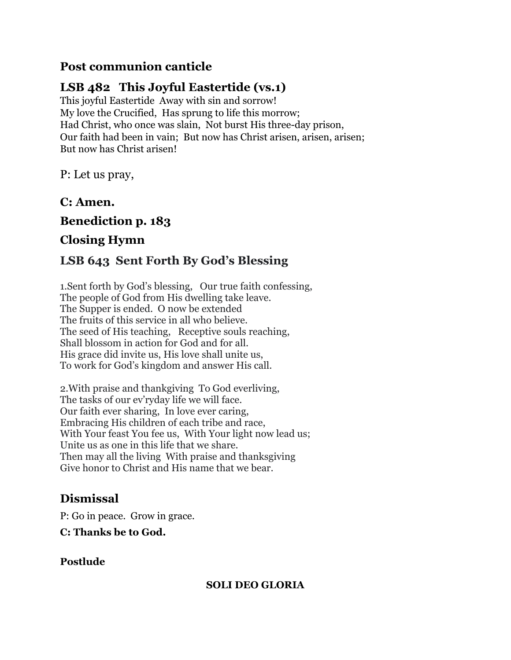# **Post communion canticle**

# **LSB 482 This Joyful Eastertide (vs.1)**

This joyful Eastertide Away with sin and sorrow! My love the Crucified, Has sprung to life this morrow; Had Christ, who once was slain, Not burst His three-day prison, Our faith had been in vain; But now has Christ arisen, arisen, arisen; But now has Christ arisen!

P: Let us pray,

**C: Amen.**

**Benediction p. 183**

# **Closing Hymn**

# **LSB 643 Sent Forth By God's Blessing**

1.Sent forth by God's blessing, Our true faith confessing, The people of God from His dwelling take leave. The Supper is ended. O now be extended The fruits of this service in all who believe. The seed of His teaching, Receptive souls reaching, Shall blossom in action for God and for all. His grace did invite us, His love shall unite us, To work for God's kingdom and answer His call.

2.With praise and thankgiving To God everliving, The tasks of our ev'ryday life we will face. Our faith ever sharing, In love ever caring, Embracing His children of each tribe and race, With Your feast You fee us, With Your light now lead us; Unite us as one in this life that we share. Then may all the living With praise and thanksgiving Give honor to Christ and His name that we bear.

# **Dismissal**

P: Go in peace. Grow in grace.

**C: Thanks be to God.**

# **Postlude**